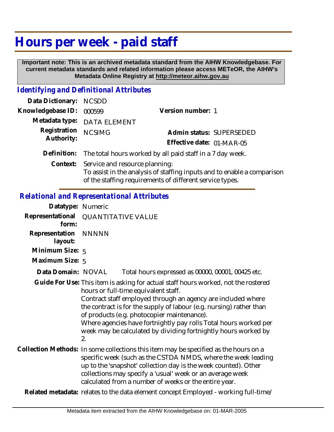## **Hours per week - paid staff**

 **Important note: This is an archived metadata standard from the AIHW Knowledgebase. For current metadata standards and related information please access METeOR, the AIHW's Metadata Online Registry at http://meteor.aihw.gov.au**

## *Identifying and Definitional Attributes*

| Data Dictionary: NCSDD |                                                                                                                    |                           |  |
|------------------------|--------------------------------------------------------------------------------------------------------------------|---------------------------|--|
| Knowledgebase ID:      | 000599                                                                                                             | Version number: 1         |  |
|                        | Metadata type: DATA ELEMENT                                                                                        |                           |  |
| Registration           | <b>NCSIMG</b>                                                                                                      | Admin status: SUPERSEDED  |  |
| Authority:             |                                                                                                                    | Effective date: 01-MAR-05 |  |
|                        | Definition: The total hours worked by all paid staff in a 7 day week.                                              |                           |  |
|                        | Context: Service and resource planning:<br>To assist in the analysis of staffing inputs and to enable a comparison |                           |  |

of the staffing requirements of different service types.

*Relational and Representational Attributes*

| Datatype: Numeric         |                           |                                                                                                                                                                                                                                                                                                                                                                                                                                                        |  |
|---------------------------|---------------------------|--------------------------------------------------------------------------------------------------------------------------------------------------------------------------------------------------------------------------------------------------------------------------------------------------------------------------------------------------------------------------------------------------------------------------------------------------------|--|
| Representational<br>form: | <b>QUANTITATIVE VALUE</b> |                                                                                                                                                                                                                                                                                                                                                                                                                                                        |  |
| Representation<br>layout: | <b>NNNNN</b>              |                                                                                                                                                                                                                                                                                                                                                                                                                                                        |  |
| Minimum Size: 5           |                           |                                                                                                                                                                                                                                                                                                                                                                                                                                                        |  |
| Maximum Size: 5           |                           |                                                                                                                                                                                                                                                                                                                                                                                                                                                        |  |
| Data Domain: NOVAL        |                           | Total hours expressed as 00000, 00001, 00425 etc.                                                                                                                                                                                                                                                                                                                                                                                                      |  |
|                           | 2.                        | Guide For Use: This item is asking for actual staff hours worked, not the rostered<br>hours or full-time equivalent staff.<br>Contract staff employed through an agency are included where<br>the contract is for the supply of labour (e.g. nursing) rather than<br>of products (e.g. photocopier maintenance).<br>Where agencies have fortnightly pay rolls Total hours worked per<br>week may be calculated by dividing fortnightly hours worked by |  |
|                           |                           | Collection Methods: In some collections this item may be specified as the hours on a<br>specific week (such as the CSTDA NMDS, where the week leading<br>up to the 'snapshot' collection day is the week counted). Other<br>collections may specify a 'usual' week or an average week<br>calculated from a number of weeks or the entire year.                                                                                                         |  |
|                           |                           | Related metadata: relates to the data element concept Employed - working full-time/                                                                                                                                                                                                                                                                                                                                                                    |  |